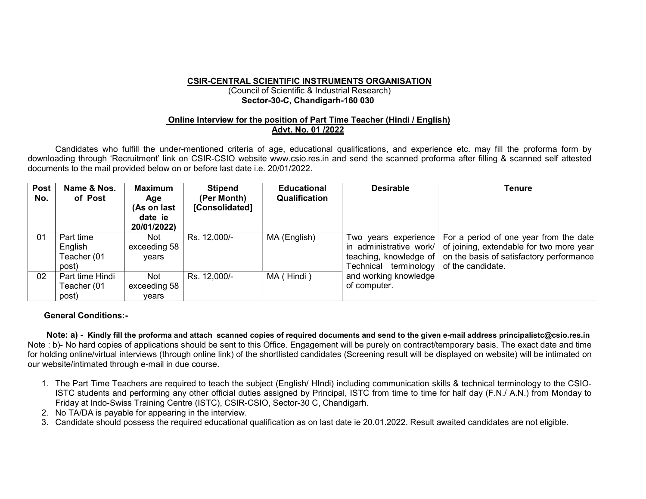## CSIR-CENTRAL SCIENTIFIC INSTRUMENTS ORGANISATION

## (Council of Scientific & Industrial Research) Sector-30-C, Chandigarh-160 030

## Online Interview for the position of Part Time Teacher (Hindi / English) Advt. No. 01 /2022

Candidates who fulfill the under-mentioned criteria of age, educational qualifications, and experience etc. may fill the proforma form by downloading through 'Recruitment' link on CSIR-CSIO website www.csio.res.in and send the scanned proforma after filling & scanned self attested documents to the mail provided below on or before last date i.e. 20/01/2022.

| <b>Post</b><br>No. | Name & Nos.<br>of Post | <b>Maximum</b><br>Age<br>(As on last<br>date ie<br>20/01/2022) | <b>Stipend</b><br>(Per Month)<br>[Consolidated] | <b>Educational</b><br>Qualification | <b>Desirable</b>                                | <b>Tenure</b>                                                                                                                               |
|--------------------|------------------------|----------------------------------------------------------------|-------------------------------------------------|-------------------------------------|-------------------------------------------------|---------------------------------------------------------------------------------------------------------------------------------------------|
| 01                 | Part time              | <b>Not</b>                                                     | Rs. 12,000/-                                    | MA (English)                        |                                                 | Two years experience   For a period of one year from the date                                                                               |
|                    | English<br>Teacher (01 | exceeding 58<br>vears                                          |                                                 |                                     |                                                 | in administrative work/ of joining, extendable for two more year<br>teaching, knowledge of $\vert$ on the basis of satisfactory performance |
|                    | post)                  |                                                                |                                                 |                                     | Technical terminology $\vert$ of the candidate. |                                                                                                                                             |
| 02                 | Part time Hindi        | <b>Not</b>                                                     | Rs. 12,000/-                                    | MA (Hindi)                          | and working knowledge                           |                                                                                                                                             |
|                    | Teacher (01            | exceeding 58                                                   |                                                 |                                     | of computer.                                    |                                                                                                                                             |
|                    | post)                  | vears                                                          |                                                 |                                     |                                                 |                                                                                                                                             |

## General Conditions:-

 Note: a) - Kindly fill the proforma and attach scanned copies of required documents and send to the given e-mail address principalistc@csio.res.in Note : b)- No hard copies of applications should be sent to this Office. Engagement will be purely on contract/temporary basis. The exact date and time for holding online/virtual interviews (through online link) of the shortlisted candidates (Screening result will be displayed on website) will be intimated on our website/intimated through e-mail in due course.

- 1. The Part Time Teachers are required to teach the subject (English/ HIndi) including communication skills & technical terminology to the CSIO-ISTC students and performing any other official duties assigned by Principal, ISTC from time to time for half day (F.N./ A.N.) from Monday to Friday at Indo-Swiss Training Centre (ISTC), CSIR-CSIO, Sector-30 C, Chandigarh.
- 2. No TA/DA is payable for appearing in the interview.
- 3. Candidate should possess the required educational qualification as on last date ie 20.01.2022. Result awaited candidates are not eligible.